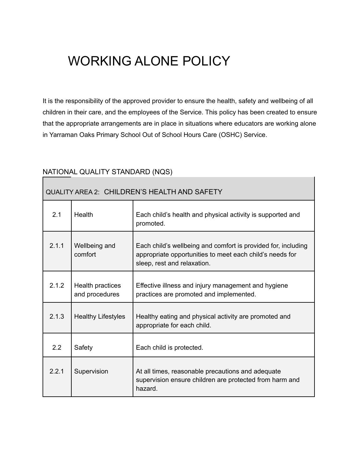# WORKING ALONE POLICY

It is the responsibility of the approved provider to ensure the health, safety and wellbeing of all children in their care, and the employees of the Service. This policy has been created to ensure that the appropriate arrangements are in place in situations where educators are working alone in Yarraman Oaks Primary School Out of School Hours Care (OSHC) Service.

# NATIONAL QUALITY STANDARD (NQS)

| <b>QUALITY AREA 2: CHILDREN'S HEALTH AND SAFETY</b> |                                    |                                                                                                                                                          |  |
|-----------------------------------------------------|------------------------------------|----------------------------------------------------------------------------------------------------------------------------------------------------------|--|
| 2.1                                                 | Health                             | Each child's health and physical activity is supported and<br>promoted.                                                                                  |  |
| 2.1.1                                               | Wellbeing and<br>comfort           | Each child's wellbeing and comfort is provided for, including<br>appropriate opportunities to meet each child's needs for<br>sleep, rest and relaxation. |  |
| 2.1.2                                               | Health practices<br>and procedures | Effective illness and injury management and hygiene<br>practices are promoted and implemented.                                                           |  |
| 2.1.3                                               | <b>Healthy Lifestyles</b>          | Healthy eating and physical activity are promoted and<br>appropriate for each child.                                                                     |  |
| 2.2                                                 | Safety                             | Each child is protected.                                                                                                                                 |  |
| 2.2.1                                               | Supervision                        | At all times, reasonable precautions and adequate<br>supervision ensure children are protected from harm and<br>hazard.                                  |  |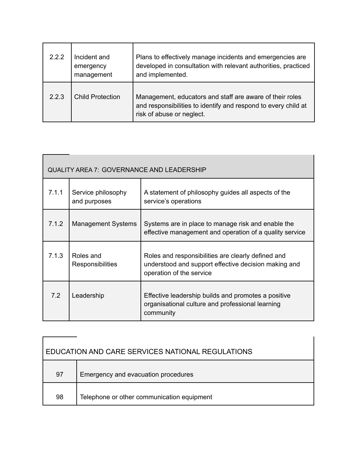| 222   | Incident and<br>emergency<br>management | Plans to effectively manage incidents and emergencies are<br>developed in consultation with relevant authorities, practiced<br>and implemented.         |
|-------|-----------------------------------------|---------------------------------------------------------------------------------------------------------------------------------------------------------|
| 2.2.3 | <b>Child Protection</b>                 | Management, educators and staff are aware of their roles<br>and responsibilities to identify and respond to every child at<br>risk of abuse or neglect. |

| QUALITY AREA 7: GOVERNANCE AND LEADERSHIP |                                    |                                                                                                                                        |  |
|-------------------------------------------|------------------------------------|----------------------------------------------------------------------------------------------------------------------------------------|--|
| 7.1.1                                     | Service philosophy<br>and purposes | A statement of philosophy guides all aspects of the<br>service's operations                                                            |  |
| 7.1.2                                     | <b>Management Systems</b>          | Systems are in place to manage risk and enable the<br>effective management and operation of a quality service                          |  |
| 7.1.3                                     | Roles and<br>Responsibilities      | Roles and responsibilities are clearly defined and<br>understood and support effective decision making and<br>operation of the service |  |
| 7.2                                       | Leadership                         | Effective leadership builds and promotes a positive<br>organisational culture and professional learning<br>community                   |  |

| EDUCATION AND CARE SERVICES NATIONAL REGULATIONS |                                            |  |
|--------------------------------------------------|--------------------------------------------|--|
| 97                                               | Emergency and evacuation procedures        |  |
| 98                                               | Telephone or other communication equipment |  |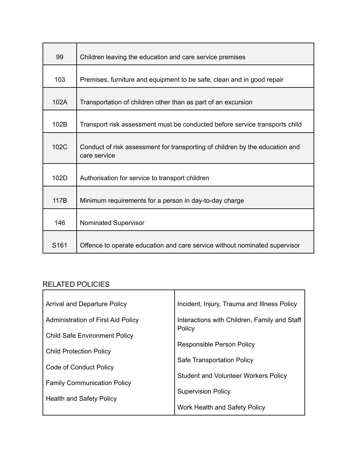| 99               | Children leaving the education and care service premises                                     |
|------------------|----------------------------------------------------------------------------------------------|
| 103              | Premises, furniture and equipment to be safe, clean and in good repair                       |
| 102A             | Transportation of children other than as part of an excursion                                |
| 102B             | Transport risk assessment must be conducted before service transports child                  |
| 102C             | Conduct of risk assessment for transporting of children by the education and<br>care service |
| 102D             | Authorisation for service to transport children                                              |
| 117B             | Minimum requirements for a person in day-to-day charge                                       |
| 146              | Nominated Supervisor                                                                         |
| S <sub>161</sub> | Offence to operate education and care service without nominated supervisor                   |

# RELATED POLICIES

| <b>Arrival and Departure Policy</b>  | Incident, Injury, Trauma and Illness Policy            |
|--------------------------------------|--------------------------------------------------------|
| Administration of First Aid Policy   | Interactions with Children, Family and Staff<br>Policy |
| <b>Child Safe Environment Policy</b> |                                                        |
|                                      | <b>Responsible Person Policy</b>                       |
| <b>Child Protection Policy</b>       |                                                        |
|                                      | Safe Transportation Policy                             |
| Code of Conduct Policy               |                                                        |
|                                      | <b>Student and Volunteer Workers Policy</b>            |
| <b>Family Communication Policy</b>   |                                                        |
|                                      | <b>Supervision Policy</b>                              |
| <b>Health and Safety Policy</b>      |                                                        |
|                                      | Work Health and Safety Policy                          |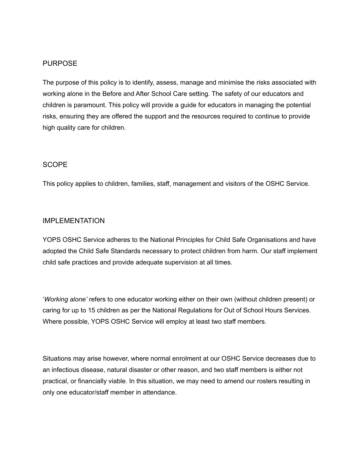#### PURPOSE

The purpose of this policy is to identify, assess, manage and minimise the risks associated with working alone in the Before and After School Care setting. The safety of our educators and children is paramount. This policy will provide a guide for educators in managing the potential risks, ensuring they are offered the support and the resources required to continue to provide high quality care for children.

#### SCOPE

This policy applies to children, families, staff, management and visitors of the OSHC Service.

#### IMPLEMENTATION

YOPS OSHC Service adheres to the National Principles for Child Safe Organisations and have adopted the Child Safe Standards necessary to protect children from harm. Our staff implement child safe practices and provide adequate supervision at all times.

'*Working alone'* refers to one educator working either on their own (without children present) or caring for up to 15 children as per the National Regulations for Out of School Hours Services. Where possible, YOPS OSHC Service will employ at least two staff members.

Situations may arise however, where normal enrolment at our OSHC Service decreases due to an infectious disease, natural disaster or other reason, and two staff members is either not practical, or financially viable. In this situation, we may need to amend our rosters resulting in only one educator/staff member in attendance.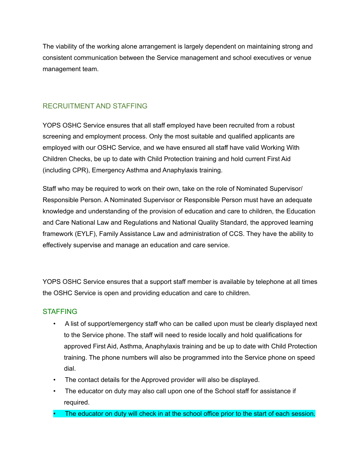The viability of the working alone arrangement is largely dependent on maintaining strong and consistent communication between the Service management and school executives or venue management team.

# RECRUITMENT AND STAFFING

YOPS OSHC Service ensures that all staff employed have been recruited from a robust screening and employment process. Only the most suitable and qualified applicants are employed with our OSHC Service, and we have ensured all staff have valid Working With Children Checks, be up to date with Child Protection training and hold current First Aid (including CPR), Emergency Asthma and Anaphylaxis training.

Staff who may be required to work on their own, take on the role of Nominated Supervisor/ Responsible Person. A Nominated Supervisor or Responsible Person must have an adequate knowledge and understanding of the provision of education and care to children, the Education and Care National Law and Regulations and National Quality Standard, the approved learning framework (EYLF), Family Assistance Law and administration of CCS. They have the ability to effectively supervise and manage an education and care service.

YOPS OSHC Service ensures that a support staff member is available by telephone at all times the OSHC Service is open and providing education and care to children.

### **STAFFING**

- A list of support/emergency staff who can be called upon must be clearly displayed next to the Service phone. The staff will need to reside locally and hold qualifications for approved First Aid, Asthma, Anaphylaxis training and be up to date with Child Protection training. The phone numbers will also be programmed into the Service phone on speed dial.
- The contact details for the Approved provider will also be displayed.
- The educator on duty may also call upon one of the School staff for assistance if required.
- The educator on duty will check in at the school office prior to the start of each session.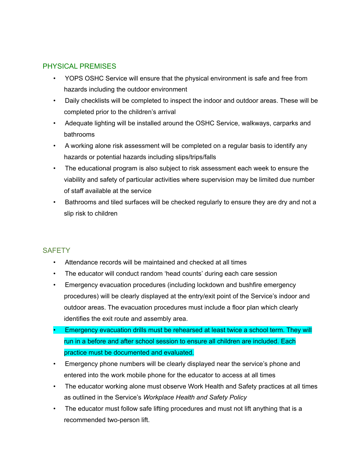## PHYSICAL PREMISES

- YOPS OSHC Service will ensure that the physical environment is safe and free from hazards including the outdoor environment
- Daily checklists will be completed to inspect the indoor and outdoor areas. These will be completed prior to the children's arrival
- Adequate lighting will be installed around the OSHC Service, walkways, carparks and bathrooms
- A working alone risk assessment will be completed on a regular basis to identify any hazards or potential hazards including slips/trips/falls
- The educational program is also subject to risk assessment each week to ensure the viability and safety of particular activities where supervision may be limited due number of staff available at the service
- Bathrooms and tiled surfaces will be checked regularly to ensure they are dry and not a slip risk to children

### **SAFFTY**

- Attendance records will be maintained and checked at all times
- The educator will conduct random 'head counts' during each care session
- Emergency evacuation procedures (including lockdown and bushfire emergency procedures) will be clearly displayed at the entry/exit point of the Service's indoor and outdoor areas. The evacuation procedures must include a floor plan which clearly identifies the exit route and assembly area.
- Emergency evacuation drills must be rehearsed at least twice a school term. They will run in a before and after school session to ensure all children are included. Each practice must be documented and evaluated.
- Emergency phone numbers will be clearly displayed near the service's phone and entered into the work mobile phone for the educator to access at all times
- The educator working alone must observe Work Health and Safety practices at all times as outlined in the Service's *Workplace Health and Safety Policy*
- The educator must follow safe lifting procedures and must not lift anything that is a recommended two-person lift.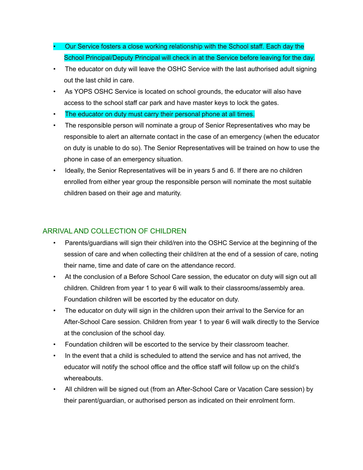- Our Service fosters a close working relationship with the School staff. Each day the School Principal/Deputy Principal will check in at the Service before leaving for the day.
- The educator on duty will leave the OSHC Service with the last authorised adult signing out the last child in care.
- As YOPS OSHC Service is located on school grounds, the educator will also have access to the school staff car park and have master keys to lock the gates.
- The educator on duty must carry their personal phone at all times.
- The responsible person will nominate a group of Senior Representatives who may be responsible to alert an alternate contact in the case of an emergency (when the educator on duty is unable to do so). The Senior Representatives will be trained on how to use the phone in case of an emergency situation.
- Ideally, the Senior Representatives will be in years 5 and 6. If there are no children enrolled from either year group the responsible person will nominate the most suitable children based on their age and maturity.

# ARRIVAL AND COLLECTION OF CHILDREN

- Parents/guardians will sign their child/ren into the OSHC Service at the beginning of the session of care and when collecting their child/ren at the end of a session of care, noting their name, time and date of care on the attendance record.
- At the conclusion of a Before School Care session, the educator on duty will sign out all children. Children from year 1 to year 6 will walk to their classrooms/assembly area. Foundation children will be escorted by the educator on duty.
- The educator on duty will sign in the children upon their arrival to the Service for an After-School Care session. Children from year 1 to year 6 will walk directly to the Service at the conclusion of the school day.
- Foundation children will be escorted to the service by their classroom teacher.
- In the event that a child is scheduled to attend the service and has not arrived, the educator will notify the school office and the office staff will follow up on the child's whereabouts.
- All children will be signed out (from an After-School Care or Vacation Care session) by their parent/guardian, or authorised person as indicated on their enrolment form.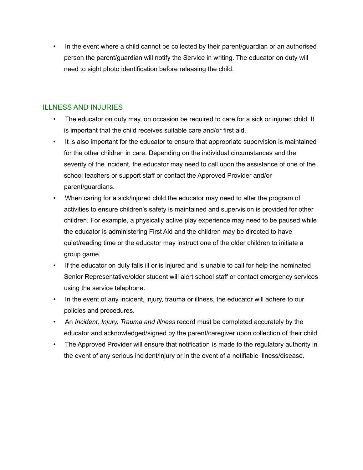• In the event where a child cannot be collected by their parent/guardian or an authorised person the parent/guardian will notify the Service in writing. The educator on duty will need to sight photo identification before releasing the child.

# ILLNESS AND INJURIES

- The educator on duty may, on occasion be required to care for a sick or injured child. It is important that the child receives suitable care and/or first aid.
- It is also important for the educator to ensure that appropriate supervision is maintained for the other children in care. Depending on the individual circumstances and the severity of the incident, the educator may need to call upon the assistance of one of the school teachers or support staff or contact the Approved Provider and/or parent/guardians.
- When caring for a sick/injured child the educator may need to alter the program of activities to ensure children's safety is maintained and supervision is provided for other children. For example, a physically active play experience may need to be paused while the educator is administering First Aid and the children may be directed to have quiet/reading time or the educator may instruct one of the older children to initiate a group game.
- If the educator on duty falls ill or is injured and is unable to call for help the nominated Senior Representative/older student will alert school staff or contact emergency services using the service telephone.
- In the event of any incident, injury, trauma or illness, the educator will adhere to our policies and procedures.
- An *Incident, Injury, Trauma and Illness* record must be completed accurately by the educator and acknowledged/signed by the parent/caregiver upon collection of their child.
- The Approved Provider will ensure that notification is made to the regulatory authority in the event of any serious incident/injury or in the event of a notifiable illness/disease.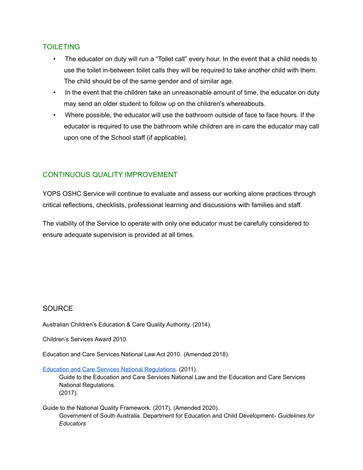## TOILETING

- The educator on duty will run a "Toilet call" every hour. In the event that a child needs to use the toilet in-between toilet calls they will be required to take another child with them. The child should be of the same gender and of similar age.
- In the event that the children take an unreasonable amount of time, the educator on duty may send an older student to follow up on the children's whereabouts.
- Where possible, the educator will use the bathroom outside of face to face hours. If the educator is required to use the bathroom while children are in care the educator may call upon one of the School staff (if applicable).

# CONTINUOUS QUALITY IMPROVEMENT

YOPS OSHC Service will continue to evaluate and assess our working alone practices through critical reflections, checklists, professional learning and discussions with families and staff.

The viability of the Service to operate with only one educator must be carefully considered to ensure adequate supervision is provided at all times.

### SOURCE

Australian Children's Education & Care Quality Authority. (2014).

Children's Services Award 2010.

Education and Care Services National Law Act 2010*.* (Amended 2018).

Education and Care Services National [Regulations](https://www.legislation.nsw.gov.au/view/html/inforce/current/sl-2011-0653?query=((Repealed%3DN+AND+PrintType%3D%22act.reprint%22+AND+PitValid%3D@pointInTime(20200831000000))+OR+(Repealed%3DN+AND+PrintType%3D%22reprint%22+AND+PitValid%3D@pointInTime(20200831000000))+OR+(Repealed%3DN+AND+(PrintType%3D%22epi.reprint%22+OR+PrintType%3D%22epi.electronic%22)+AND+PitValid%3D@pointInTime(20200831000000)))+AND+Content%3D(%22early%22+AND+%22childhood%22)&dQuery=Document+Types%3D%22%3Cspan+class%3D%27dq-highlight%27%3EActs%3C/span%3E,+%3Cspan+class%3D%27dq-highlight%27%3ERegulations%3C/span%3E,+%3Cspan+class%3D%27dq-highlight%27%3EEPIs%3C/span%3E%22,+Search+In%3D%22%3Cspan+class%3D%27dq-highlight%27%3EAll+Content%3C/span%3E%22,+All+Words%3D%22%3Cspan+class%3D%27dq-highlight%27%3Eearly+childhood%3C/span%3E%22,+Point+In+Time%3D%22%3Cspan+class%3D%27dq-highlight%27%3E31/08/2020%3C/span%3E%22). (2011).

Guide to the Education and Care Services National Law and the Education and Care Services National Regulations. (2017).

Guide to the National Quality Framework. (2017). (Amended 2020). Government of South Australia. Department for Education and Child Development- *Guidelines for Educators*